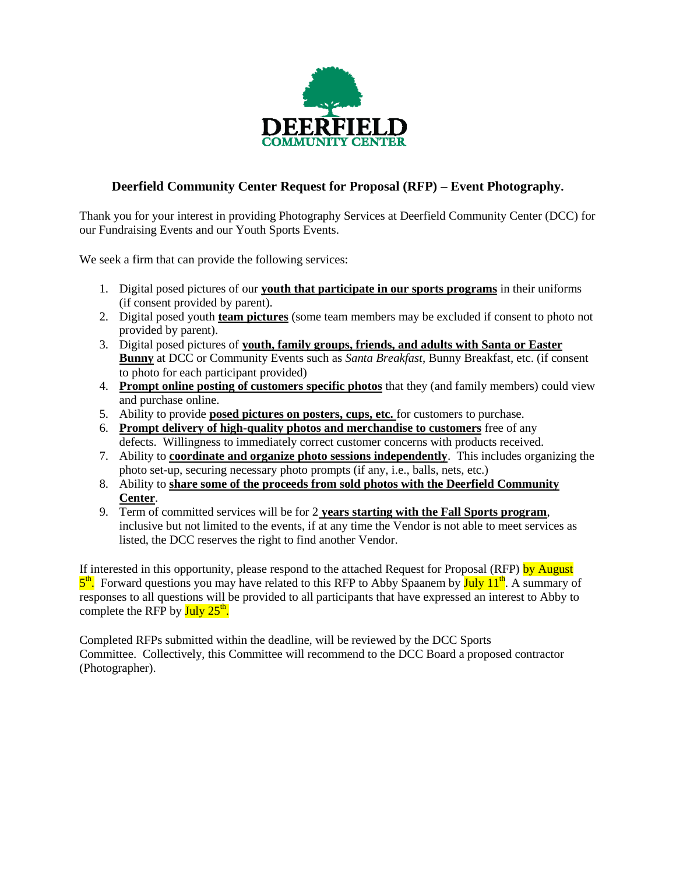

# **Deerfield Community Center Request for Proposal (RFP) – Event Photography.**

Thank you for your interest in providing Photography Services at Deerfield Community Center (DCC) for our Fundraising Events and our Youth Sports Events.

We seek a firm that can provide the following services:

- 1. Digital posed pictures of our **youth that participate in our sports programs** in their uniforms (if consent provided by parent).
- 2. Digital posed youth **team pictures** (some team members may be excluded if consent to photo not provided by parent).
- 3. Digital posed pictures of **youth, family groups, friends, and adults with Santa or Easter Bunny** at DCC or Community Events such as *Santa Breakfast*, Bunny Breakfast, etc. (if consent to photo for each participant provided)
- 4. **Prompt online posting of customers specific photos** that they (and family members) could view and purchase online.
- 5. Ability to provide **posed pictures on posters, cups, etc.** for customers to purchase.
- 6. **Prompt delivery of high-quality photos and merchandise to customers** free of any defects. Willingness to immediately correct customer concerns with products received.
- 7. Ability to **coordinate and organize photo sessions independently**. This includes organizing the photo set-up, securing necessary photo prompts (if any, i.e., balls, nets, etc.)
- 8. Ability to **share some of the proceeds from sold photos with the Deerfield Community Center**.
- 9. Term of committed services will be for 2 **years starting with the Fall Sports program**, inclusive but not limited to the events, if at any time the Vendor is not able to meet services as listed, the DCC reserves the right to find another Vendor.

If interested in this opportunity, please respond to the attached Request for Proposal (RFP) by August 5<sup>th</sup>. Forward questions you may have related to this RFP to Abby Spaanem by July 11<sup>th</sup>. A summary of responses to all questions will be provided to all participants that have expressed an interest to Abby to complete the RFP by  $\text{July } 25^{\text{th}}$ .

Completed RFPs submitted within the deadline, will be reviewed by the DCC Sports Committee. Collectively, this Committee will recommend to the DCC Board a proposed contractor (Photographer).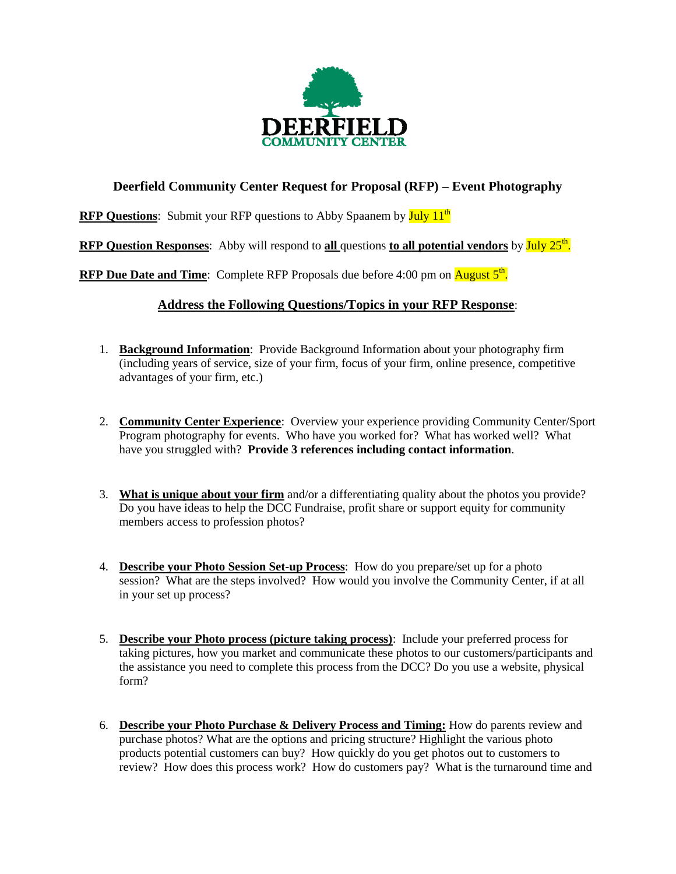

## **Deerfield Community Center Request for Proposal (RFP) – Event Photography**

**RFP Questions:** Submit your RFP questions to Abby Spaanem by July 11<sup>th</sup>

**RFP Question Responses:** Abby will respond to all questions to all potential vendors by July 25<sup>th</sup>.

RFP Due Date and Time: Complete RFP Proposals due before 4:00 pm on **August 5<sup>th</sup>**.

## **Address the Following Questions/Topics in your RFP Response**:

- 1. **Background Information**: Provide Background Information about your photography firm (including years of service, size of your firm, focus of your firm, online presence, competitive advantages of your firm, etc.)
- 2. **Community Center Experience**: Overview your experience providing Community Center/Sport Program photography for events. Who have you worked for? What has worked well? What have you struggled with? **Provide 3 references including contact information**.
- 3. **What is unique about your firm** and/or a differentiating quality about the photos you provide? Do you have ideas to help the DCC Fundraise, profit share or support equity for community members access to profession photos?
- 4. **Describe your Photo Session Set-up Process**: How do you prepare/set up for a photo session? What are the steps involved? How would you involve the Community Center, if at all in your set up process?
- 5. **Describe your Photo process (picture taking process)**: Include your preferred process for taking pictures, how you market and communicate these photos to our customers/participants and the assistance you need to complete this process from the DCC? Do you use a website, physical form?
- 6. **Describe your Photo Purchase & Delivery Process and Timing:** How do parents review and purchase photos? What are the options and pricing structure? Highlight the various photo products potential customers can buy? How quickly do you get photos out to customers to review? How does this process work? How do customers pay? What is the turnaround time and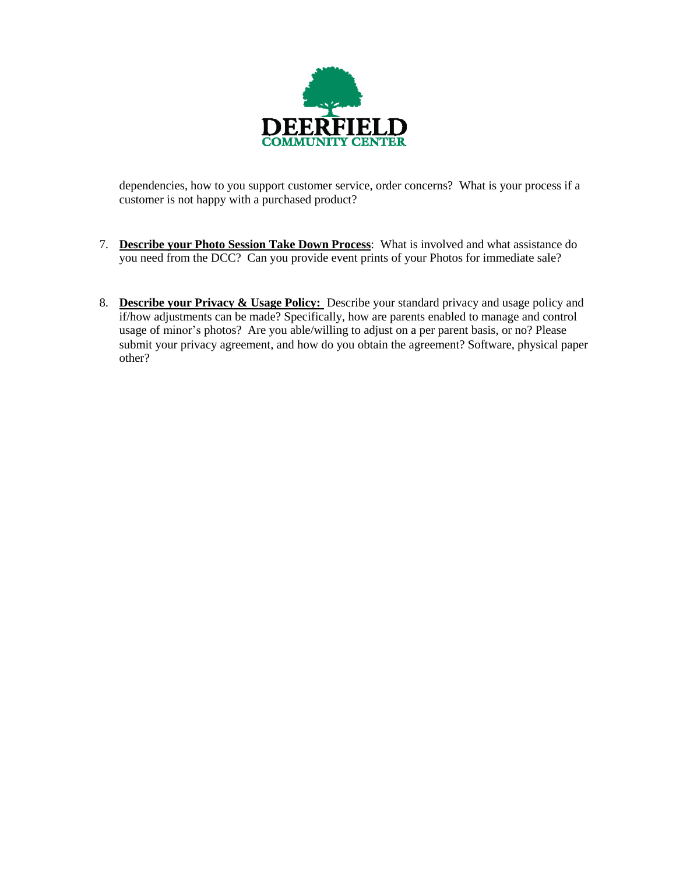

dependencies, how to you support customer service, order concerns? What is your process if a customer is not happy with a purchased product?

- 7. **Describe your Photo Session Take Down Process**: What is involved and what assistance do you need from the DCC? Can you provide event prints of your Photos for immediate sale?
- 8. **Describe your Privacy & Usage Policy:** Describe your standard privacy and usage policy and if/how adjustments can be made? Specifically, how are parents enabled to manage and control usage of minor's photos? Are you able/willing to adjust on a per parent basis, or no? Please submit your privacy agreement, and how do you obtain the agreement? Software, physical paper other?